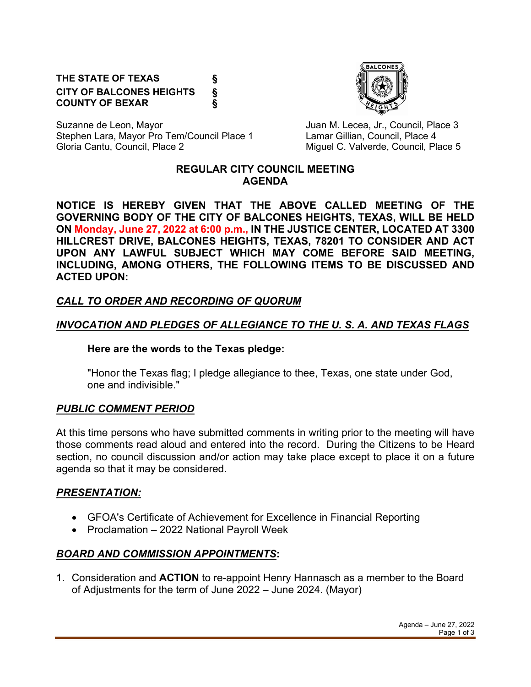### **THE STATE OF TEXAS § CITY OF BALCONES HEIGHTS § COUNTY OF BEXAR §**



Suzanne de Leon, Mayor **Juan M. Lecea, Jr., Council, Place 3** Stephen Lara, Mayor Pro Tem/Council Place 1 Lamar Gillian, Council, Place 4 Gloria Cantu, Council, Place 2 Council, and C. Valverde, Council, Place 5

### **REGULAR CITY COUNCIL MEETING AGENDA**

**NOTICE IS HEREBY GIVEN THAT THE ABOVE CALLED MEETING OF THE GOVERNING BODY OF THE CITY OF BALCONES HEIGHTS, TEXAS, WILL BE HELD ON Monday, June 27, 2022 at 6:00 p.m., IN THE JUSTICE CENTER, LOCATED AT 3300 HILLCREST DRIVE, BALCONES HEIGHTS, TEXAS, 78201 TO CONSIDER AND ACT UPON ANY LAWFUL SUBJECT WHICH MAY COME BEFORE SAID MEETING, INCLUDING, AMONG OTHERS, THE FOLLOWING ITEMS TO BE DISCUSSED AND ACTED UPON:**

## *CALL TO ORDER AND RECORDING OF QUORUM*

## *INVOCATION AND PLEDGES OF ALLEGIANCE TO THE U. S. A. AND TEXAS FLAGS*

#### **Here are the words to the Texas pledge:**

"Honor the Texas flag; I pledge allegiance to thee, Texas, one state under God, one and indivisible."

### *PUBLIC COMMENT PERIOD*

At this time persons who have submitted comments in writing prior to the meeting will have those comments read aloud and entered into the record. During the Citizens to be Heard section, no council discussion and/or action may take place except to place it on a future agenda so that it may be considered.

### *PRESENTATION:*

- GFOA's Certificate of Achievement for Excellence in Financial Reporting
- Proclamation 2022 National Payroll Week

## *BOARD AND COMMISSION APPOINTMENTS***:**

1. Consideration and **ACTION** to re-appoint Henry Hannasch as a member to the Board of Adjustments for the term of June 2022 – June 2024. (Mayor)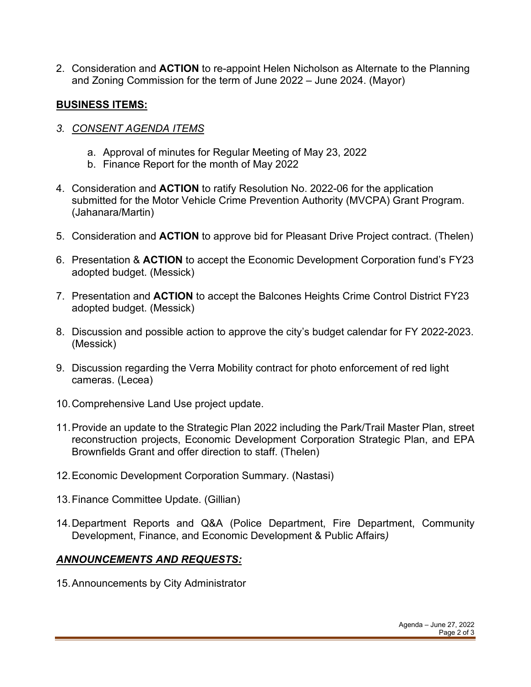2. Consideration and **ACTION** to re-appoint Helen Nicholson as Alternate to the Planning and Zoning Commission for the term of June 2022 – June 2024. (Mayor)

## **BUSINESS ITEMS:**

- *3. CONSENT AGENDA ITEMS*
	- a. Approval of minutes for Regular Meeting of May 23, 2022
	- b. Finance Report for the month of May 2022
- 4. Consideration and **ACTION** to ratify Resolution No. 2022-06 for the application submitted for the Motor Vehicle Crime Prevention Authority (MVCPA) Grant Program. (Jahanara/Martin)
- 5. Consideration and **ACTION** to approve bid for Pleasant Drive Project contract. (Thelen)
- 6. Presentation & **ACTION** to accept the Economic Development Corporation fund's FY23 adopted budget. (Messick)
- 7. Presentation and **ACTION** to accept the Balcones Heights Crime Control District FY23 adopted budget. (Messick)
- 8. Discussion and possible action to approve the city's budget calendar for FY 2022-2023. (Messick)
- 9. Discussion regarding the Verra Mobility contract for photo enforcement of red light cameras. (Lecea)
- 10.Comprehensive Land Use project update.
- 11.Provide an update to the Strategic Plan 2022 including the Park/Trail Master Plan, street reconstruction projects, Economic Development Corporation Strategic Plan, and EPA Brownfields Grant and offer direction to staff. (Thelen)
- 12.Economic Development Corporation Summary. (Nastasi)
- 13.Finance Committee Update. (Gillian)
- 14.Department Reports and Q&A (Police Department, Fire Department, Community Development, Finance, and Economic Development & Public Affairs*)*

# *ANNOUNCEMENTS AND REQUESTS:*

15.Announcements by City Administrator